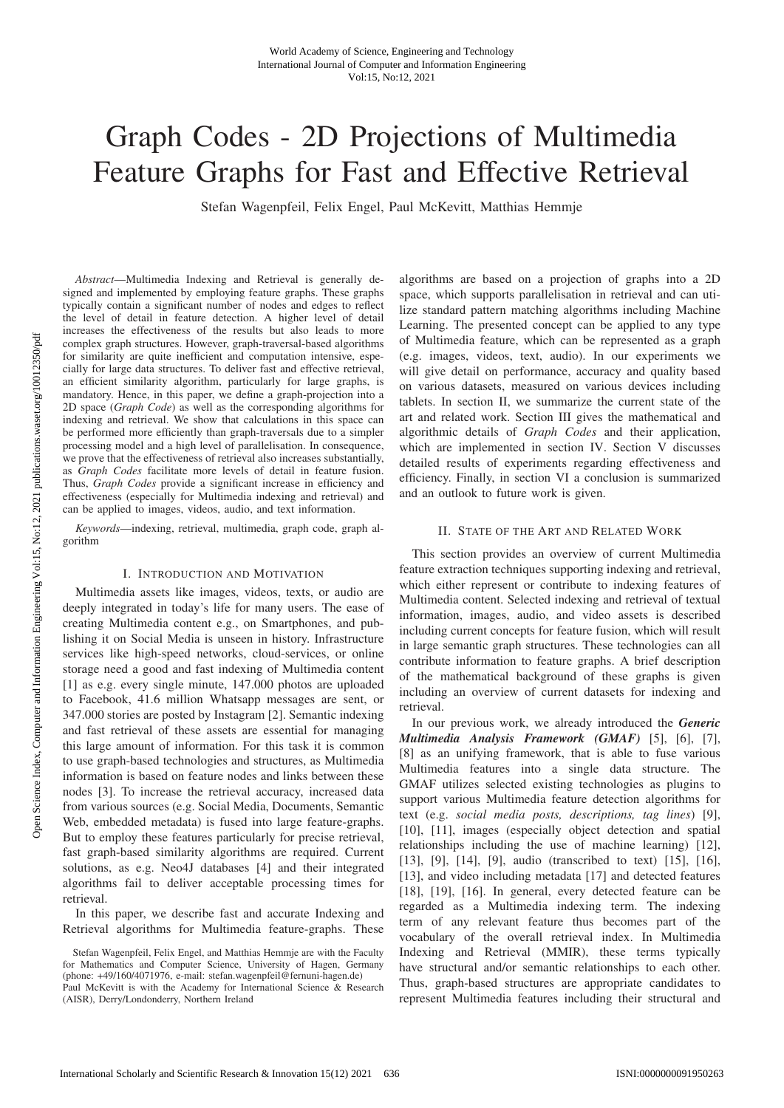# Graph Codes - 2D Projections of Multimedia Feature Graphs for Fast and Effective Retrieval

Stefan Wagenpfeil, Felix Engel, Paul McKevitt, Matthias Hemmje

*Abstract*—Multimedia Indexing and Retrieval is generally designed and implemented by employing feature graphs. These graphs typically contain a significant number of nodes and edges to reflect the level of detail in feature detection. A higher level of detail increases the effectiveness of the results but also leads to more complex graph structures. However, graph-traversal-based algorithms for similarity are quite inefficient and computation intensive, especially for large data structures. To deliver fast and effective retrieval, an efficient similarity algorithm, particularly for large graphs, is mandatory. Hence, in this paper, we define a graph-projection into a 2D space (*Graph Code*) as well as the corresponding algorithms for indexing and retrieval. We show that calculations in this space can be performed more efficiently than graph-traversals due to a simpler processing model and a high level of parallelisation. In consequence, we prove that the effectiveness of retrieval also increases substantially, as *Graph Codes* facilitate more levels of detail in feature fusion. Thus, *Graph Codes* provide a significant increase in efficiency and effectiveness (especially for Multimedia indexing and retrieval) and can be applied to images, videos, audio, and text information.

*Keywords*—indexing, retrieval, multimedia, graph code, graph algorithm

#### I. INTRODUCTION AND MOTIVATION

Multimedia assets like images, videos, texts, or audio are deeply integrated in today's life for many users. The ease of creating Multimedia content e.g., on Smartphones, and publishing it on Social Media is unseen in history. Infrastructure services like high-speed networks, cloud-services, or online storage need a good and fast indexing of Multimedia content [1] as e.g. every single minute, 147.000 photos are uploaded to Facebook, 41.6 million Whatsapp messages are sent, or 347.000 stories are posted by Instagram [2]. Semantic indexing and fast retrieval of these assets are essential for managing this large amount of information. For this task it is common to use graph-based technologies and structures, as Multimedia information is based on feature nodes and links between these nodes [3]. To increase the retrieval accuracy, increased data from various sources (e.g. Social Media, Documents, Semantic Web, embedded metadata) is fused into large feature-graphs. But to employ these features particularly for precise retrieval, fast graph-based similarity algorithms are required. Current solutions, as e.g. Neo4J databases [4] and their integrated algorithms fail to deliver acceptable processing times for retrieval.

In this paper, we describe fast and accurate Indexing and Retrieval algorithms for Multimedia feature-graphs. These algorithms are based on a projection of graphs into a 2D space, which supports parallelisation in retrieval and can utilize standard pattern matching algorithms including Machine Learning. The presented concept can be applied to any type of Multimedia feature, which can be represented as a graph (e.g. images, videos, text, audio). In our experiments we will give detail on performance, accuracy and quality based on various datasets, measured on various devices including tablets. In section II, we summarize the current state of the art and related work. Section III gives the mathematical and algorithmic details of *Graph Codes* and their application, which are implemented in section IV. Section V discusses detailed results of experiments regarding effectiveness and efficiency. Finally, in section VI a conclusion is summarized and an outlook to future work is given.

#### II. STATE OF THE ART AND RELATED WORK

This section provides an overview of current Multimedia feature extraction techniques supporting indexing and retrieval, which either represent or contribute to indexing features of Multimedia content. Selected indexing and retrieval of textual information, images, audio, and video assets is described including current concepts for feature fusion, which will result in large semantic graph structures. These technologies can all contribute information to feature graphs. A brief description of the mathematical background of these graphs is given including an overview of current datasets for indexing and retrieval.

In our previous work, we already introduced the *Generic Multimedia Analysis Framework (GMAF)* [5], [6], [7], [8] as an unifying framework, that is able to fuse various Multimedia features into a single data structure. The GMAF utilizes selected existing technologies as plugins to support various Multimedia feature detection algorithms for text (e.g. *social media posts, descriptions, tag lines*) [9], [10], [11], images (especially object detection and spatial relationships including the use of machine learning) [12], [13], [9], [14], [9], audio (transcribed to text) [15], [16], [13], and video including metadata [17] and detected features [18], [19], [16]. In general, every detected feature can be regarded as a Multimedia indexing term. The indexing term of any relevant feature thus becomes part of the vocabulary of the overall retrieval index. In Multimedia Indexing and Retrieval (MMIR), these terms typically have structural and/or semantic relationships to each other. Thus, graph-based structures are appropriate candidates to represent Multimedia features including their structural and

Stefan Wagenpfeil, Felix Engel, and Matthias Hemmje are with the Faculty for Mathematics and Computer Science, University of Hagen, Germany (phone: +49/160/4071976, e-mail: stefan.wagenpfeil@fernuni-hagen.de) Paul McKevitt is with the Academy for International Science & Research (AISR), Derry/Londonderry, Northern Ireland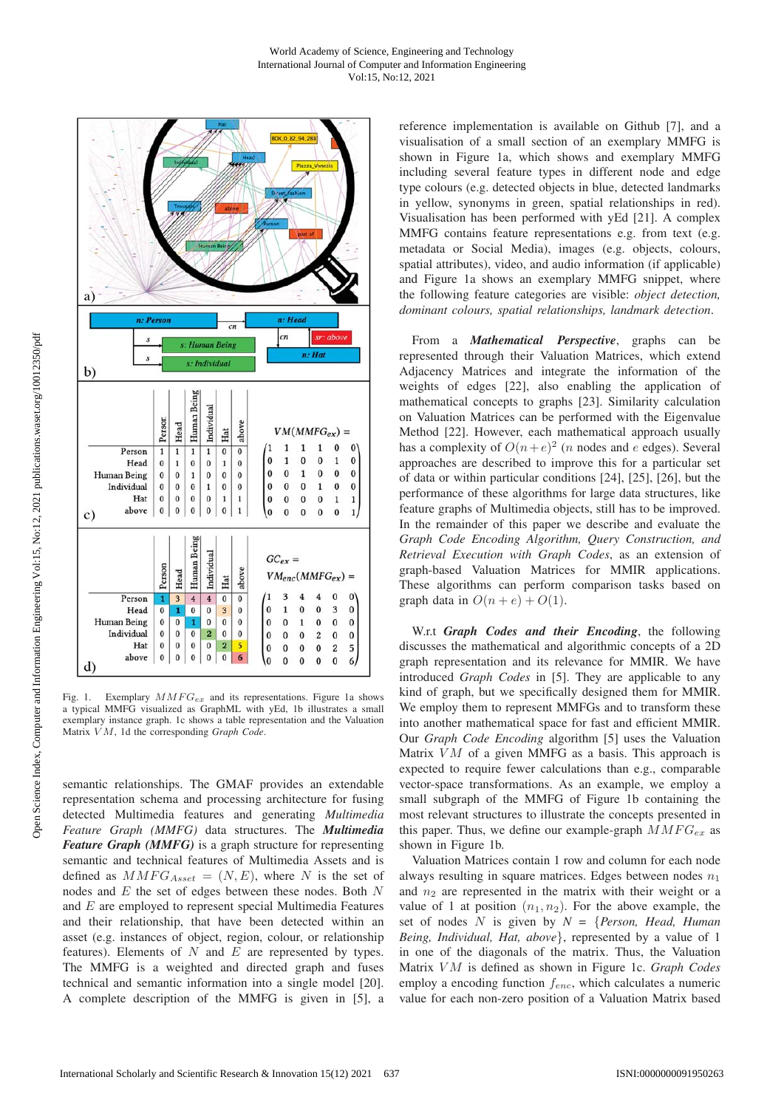

Fig. 1. Exemplary  $MMFG_{ex}$  and its representations. Figure 1a shows a typical MMFG visualized as GraphML with yEd, 1b illustrates a small exemplary instance graph. 1c shows a table representation and the Valuation Matrix V M, 1d the corresponding *Graph Code*.

semantic relationships. The GMAF provides an extendable representation schema and processing architecture for fusing detected Multimedia features and generating *Multimedia Feature Graph (MMFG)* data structures. The *Multimedia Feature Graph (MMFG)* is a graph structure for representing semantic and technical features of Multimedia Assets and is defined as  $MMFG_{Asset} = (N, E)$ , where N is the set of nodes and E the set of edges between these nodes. Both N and E are employed to represent special Multimedia Features and their relationship, that have been detected within an asset (e.g. instances of object, region, colour, or relationship features). Elements of  $N$  and  $E$  are represented by types. The MMFG is a weighted and directed graph and fuses technical and semantic information into a single model [20]. A complete description of the MMFG is given in [5], a reference implementation is available on Github [7], and a visualisation of a small section of an exemplary MMFG is shown in Figure 1a, which shows and exemplary MMFG including several feature types in different node and edge type colours (e.g. detected objects in blue, detected landmarks in yellow, synonyms in green, spatial relationships in red). Visualisation has been performed with yEd [21]. A complex MMFG contains feature representations e.g. from text (e.g. metadata or Social Media), images (e.g. objects, colours, spatial attributes), video, and audio information (if applicable) and Figure 1a shows an exemplary MMFG snippet, where the following feature categories are visible: *object detection, dominant colours, spatial relationships, landmark detection*.

From a *Mathematical Perspective*, graphs can be represented through their Valuation Matrices, which extend Adjacency Matrices and integrate the information of the weights of edges [22], also enabling the application of mathematical concepts to graphs [23]. Similarity calculation on Valuation Matrices can be performed with the Eigenvalue Method [22]. However, each mathematical approach usually has a complexity of  $O(n+e)^2$  (*n* nodes and *e* edges). Several approaches are described to improve this for a particular set of data or within particular conditions [24], [25], [26], but the performance of these algorithms for large data structures, like feature graphs of Multimedia objects, still has to be improved. In the remainder of this paper we describe and evaluate the *Graph Code Encoding Algorithm, Query Construction, and Retrieval Execution with Graph Codes*, as an extension of graph-based Valuation Matrices for MMIR applications. These algorithms can perform comparison tasks based on graph data in  $O(n + e) + O(1)$ .

W.r.t *Graph Codes and their Encoding*, the following discusses the mathematical and algorithmic concepts of a 2D graph representation and its relevance for MMIR. We have introduced *Graph Codes* in [5]. They are applicable to any kind of graph, but we specifically designed them for MMIR. We employ them to represent MMFGs and to transform these into another mathematical space for fast and efficient MMIR. Our *Graph Code Encoding* algorithm [5] uses the Valuation Matrix  $VM$  of a given MMFG as a basis. This approach is expected to require fewer calculations than e.g., comparable vector-space transformations. As an example, we employ a small subgraph of the MMFG of Figure 1b containing the most relevant structures to illustrate the concepts presented in this paper. Thus, we define our example-graph  $MMFG_{ex}$  as shown in Figure 1b.

Valuation Matrices contain 1 row and column for each node always resulting in square matrices. Edges between nodes  $n_1$ and  $n_2$  are represented in the matrix with their weight or a value of 1 at position  $(n_1, n_2)$ . For the above example, the set of nodes N is given by *N =* {*Person, Head, Human Being, Individual, Hat, above*}, represented by a value of 1 in one of the diagonals of the matrix. Thus, the Valuation Matrix V M is defined as shown in Figure 1c. *Graph Codes* employ a encoding function  $f_{enc}$ , which calculates a numeric value for each non-zero position of a Valuation Matrix based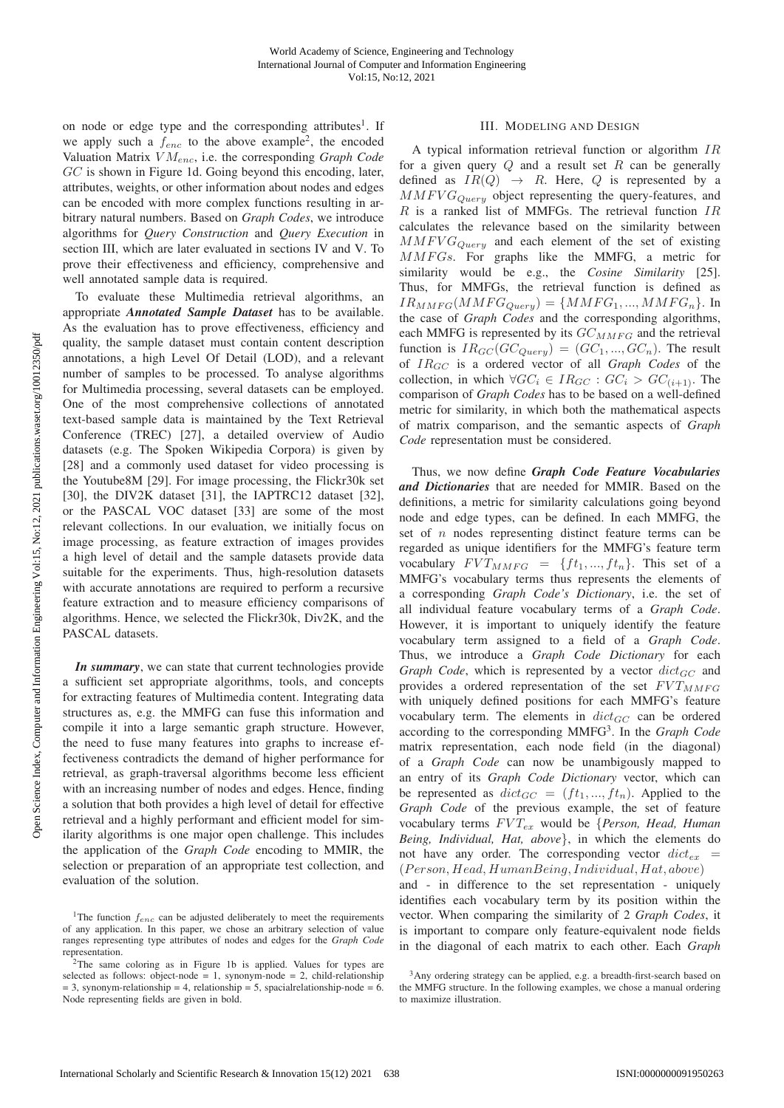on node or edge type and the corresponding attributes<sup>1</sup>. If we apply such a  $f_{enc}$  to the above example<sup>2</sup>, the encoded Valuation Matrix V Menc, i.e. the corresponding *Graph Code* GC is shown in Figure 1d. Going beyond this encoding, later, attributes, weights, or other information about nodes and edges can be encoded with more complex functions resulting in arbitrary natural numbers. Based on *Graph Codes*, we introduce algorithms for *Query Construction* and *Query Execution* in section III, which are later evaluated in sections IV and V. To prove their effectiveness and efficiency, comprehensive and well annotated sample data is required.

To evaluate these Multimedia retrieval algorithms, an appropriate *Annotated Sample Dataset* has to be available. As the evaluation has to prove effectiveness, efficiency and quality, the sample dataset must contain content description annotations, a high Level Of Detail (LOD), and a relevant number of samples to be processed. To analyse algorithms for Multimedia processing, several datasets can be employed. One of the most comprehensive collections of annotated text-based sample data is maintained by the Text Retrieval Conference (TREC) [27], a detailed overview of Audio datasets (e.g. The Spoken Wikipedia Corpora) is given by [28] and a commonly used dataset for video processing is the Youtube8M [29]. For image processing, the Flickr30k set [30], the DIV2K dataset [31], the IAPTRC12 dataset [32], or the PASCAL VOC dataset [33] are some of the most relevant collections. In our evaluation, we initially focus on image processing, as feature extraction of images provides a high level of detail and the sample datasets provide data suitable for the experiments. Thus, high-resolution datasets with accurate annotations are required to perform a recursive feature extraction and to measure efficiency comparisons of algorithms. Hence, we selected the Flickr30k, Div2K, and the PASCAL datasets.

*In summary*, we can state that current technologies provide a sufficient set appropriate algorithms, tools, and concepts for extracting features of Multimedia content. Integrating data structures as, e.g. the MMFG can fuse this information and compile it into a large semantic graph structure. However, the need to fuse many features into graphs to increase effectiveness contradicts the demand of higher performance for retrieval, as graph-traversal algorithms become less efficient with an increasing number of nodes and edges. Hence, finding a solution that both provides a high level of detail for effective retrieval and a highly performant and efficient model for similarity algorithms is one major open challenge. This includes the application of the *Graph Code* encoding to MMIR, the selection or preparation of an appropriate test collection, and evaluation of the solution.

## III. MODELING AND DESIGN

A typical information retrieval function or algorithm IR for a given query  $Q$  and a result set  $R$  can be generally defined as  $IR(Q) \rightarrow R$ . Here, Q is represented by a  $MMFVG_{Query}$  object representing the query-features, and  $R$  is a ranked list of MMFGs. The retrieval function  $IR$ calculates the relevance based on the similarity between  $MMFVG_{Query}$  and each element of the set of existing MMFGs. For graphs like the MMFG, a metric for similarity would be e.g., the *Cosine Similarity* [25]. Thus, for MMFGs, the retrieval function is defined as  $IR_{MMFG}(MMFG_{Query}) = \{MMFG_1, ..., MMFG_n\}.$  In the case of *Graph Codes* and the corresponding algorithms, each MMFG is represented by its  $GC_{MMFG}$  and the retrieval function is  $IR_{GC}(GC_{Query}) = (GC_1, ..., GC_n)$ . The result of IRGC is a ordered vector of all *Graph Codes* of the collection, in which  $\forall GC_i \in IR_{GC}: GC_i > GC_{(i+1)}$ . The comparison of *Graph Codes* has to be based on a well-defined metric for similarity, in which both the mathematical aspects of matrix comparison, and the semantic aspects of *Graph Code* representation must be considered.

Thus, we now define *Graph Code Feature Vocabularies and Dictionaries* that are needed for MMIR. Based on the definitions, a metric for similarity calculations going beyond node and edge types, can be defined. In each MMFG, the set of  $n$  nodes representing distinct feature terms can be regarded as unique identifiers for the MMFG's feature term vocabulary  $FVT_{MMFG} = \{ft_1, ..., ft_n\}$ . This set of a MMFG's vocabulary terms thus represents the elements of a corresponding *Graph Code's Dictionary*, i.e. the set of all individual feature vocabulary terms of a *Graph Code*. However, it is important to uniquely identify the feature vocabulary term assigned to a field of a *Graph Code*. Thus, we introduce a *Graph Code Dictionary* for each *Graph Code*, which is represented by a vector  $dict_{GC}$  and provides a ordered representation of the set  $FVT_{MMFG}$ with uniquely defined positions for each MMFG's feature vocabulary term. The elements in  $dict_{GC}$  can be ordered according to the corresponding MMFG3. In the *Graph Code* matrix representation, each node field (in the diagonal) of a *Graph Code* can now be unambigously mapped to an entry of its *Graph Code Dictionary* vector, which can be represented as  $dict_{GC} = (ft_1, ..., ft_n)$ . Applied to the *Graph Code* of the previous example, the set of feature vocabulary terms  $FVT_{ex}$  would be {*Person, Head, Human Being, Individual, Hat, above*}, in which the elements do not have any order. The corresponding vector  $dict_{ex}$  =  $(Person, Head, HumanBeing, Individual, Hat, above)$ and - in difference to the set representation - uniquely identifies each vocabulary term by its position within the vector. When comparing the similarity of 2 *Graph Codes*, it is important to compare only feature-equivalent node fields in the diagonal of each matrix to each other. Each *Graph*

<sup>&</sup>lt;sup>1</sup>The function  $f_{enc}$  can be adjusted deliberately to meet the requirements of any application. In this paper, we chose an arbitrary selection of value ranges representing type attributes of nodes and edges for the *Graph Code* representation.

 $2$ The same coloring as in Figure 1b is applied. Values for types are selected as follows: object-node = 1, synonym-node = 2, child-relationship  $= 3$ , synonym-relationship  $= 4$ , relationship  $= 5$ , spacialrelationship-node  $= 6$ . Node representing fields are given in bold.

<sup>&</sup>lt;sup>3</sup>Any ordering strategy can be applied, e.g. a breadth-first-search based on the MMFG structure. In the following examples, we chose a manual ordering to maximize illustration.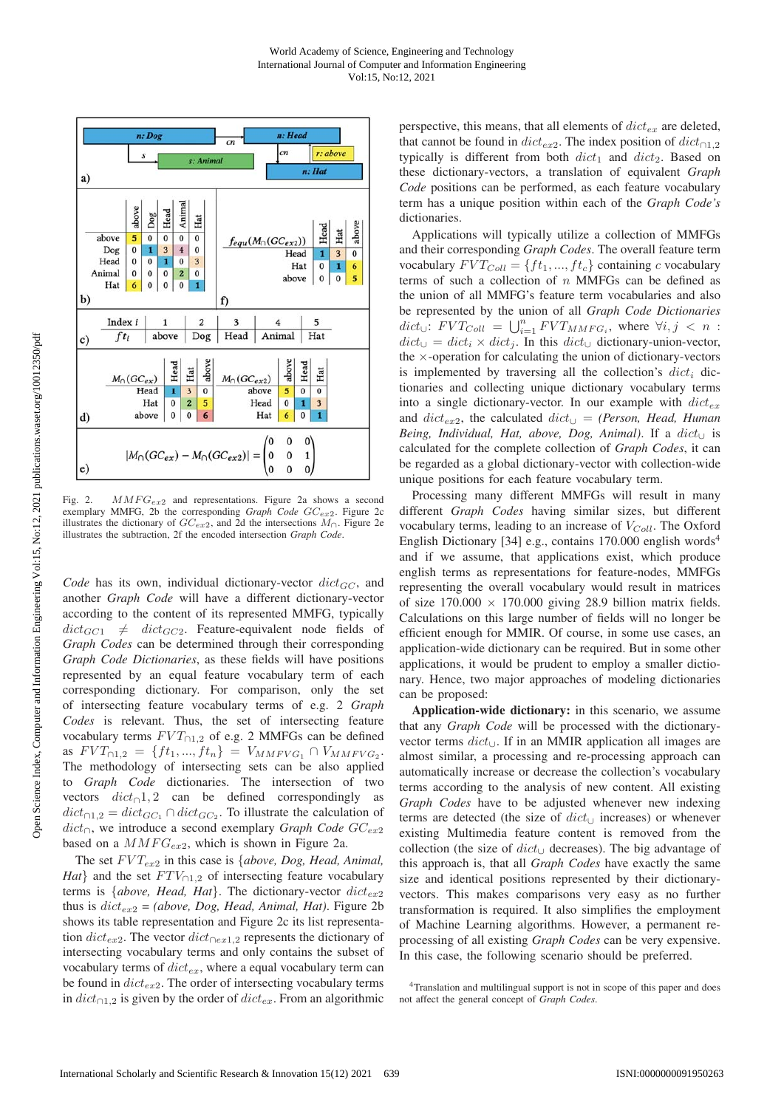

Fig. 2.  $MMFG_{ex2}$  and representations. Figure 2a shows a second exemplary MMFG, 2b the corresponding *Graph Code GC<sub>ex2</sub>*. Figure 2c illustrates the dictionary of  $GC_{ex2}$ , and 2d the intersections  $M_{\cap}$ . Figure 2e illustrates the subtraction, 2f the encoded intersection *Graph Code*.

*Code* has its own, individual dictionary-vector  $dict_{GC}$ , and another *Graph Code* will have a different dictionary-vector according to the content of its represented MMFG, typically  $dict_{GC1}$   $\neq$   $dict_{GC2}$ . Feature-equivalent node fields of *Graph Codes* can be determined through their corresponding *Graph Code Dictionaries*, as these fields will have positions represented by an equal feature vocabulary term of each corresponding dictionary. For comparison, only the set of intersecting feature vocabulary terms of e.g. 2 *Graph Codes* is relevant. Thus, the set of intersecting feature vocabulary terms  $FVT_{\bigcap 1,2}$  of e.g. 2 MMFGs can be defined as  $FVT_{\cap 1,2} = \{ft_1, ..., ft_n\} = V_{MMFVG_1} \cap V_{MMFVG_2}$ . The methodology of intersecting sets can be also applied to *Graph Code* dictionaries. The intersection of two vectors  $dict<sub>∩</sub>1, 2$  can be defined correspondingly as  $dict_{\cap 1,2} = dict_{GC_1} \cap dict_{GC_2}$ . To illustrate the calculation of dict∩, we introduce a second exemplary *Graph Code* GCex<sup>2</sup> based on a  $MMFG_{ex2}$ , which is shown in Figure 2a.

The set  $FVT_{ex2}$  in this case is *{above, Dog, Head, Animal, Hat*} and the set  $FTV_{01,2}$  of intersecting feature vocabulary terms is  ${above, Head, Hat}$ . The dictionary-vector  $dict_{ex2}$ thus is  $dict_{ex2} = (above, Dog, Head, Animal, Hat)$ . Figure 2b shows its table representation and Figure 2c its list representation  $dict_{ex2}$ . The vector  $dict_{\bigcap ex1,2}$  represents the dictionary of intersecting vocabulary terms and only contains the subset of vocabulary terms of  $dict_{ex}$ , where a equal vocabulary term can be found in  $dict_{ex2}$ . The order of intersecting vocabulary terms in  $dict_{\cap 1,2}$  is given by the order of  $dict_{ex}$ . From an algorithmic

perspective, this means, that all elements of  $dict_{ex}$  are deleted, that cannot be found in  $dict_{ex2}$ . The index position of  $dict_{\cap 1,2}$ typically is different from both  $dict_1$  and  $dict_2$ . Based on these dictionary-vectors, a translation of equivalent *Graph Code* positions can be performed, as each feature vocabulary term has a unique position within each of the *Graph Code's* dictionaries.

Applications will typically utilize a collection of MMFGs and their corresponding *Graph Codes*. The overall feature term vocabulary  $FVT_{Coll} = \{ft_1, ..., ft_c\}$  containing c vocabulary terms of such a collection of  $n$  MMFGs can be defined as the union of all MMFG's feature term vocabularies and also be represented by the union of all *Graph Code Dictionaries*  $dict_{\cup}$ :  $FVT_{Coll} = \bigcup_{i=1}^{n} FVT_{MMFG_i}$ , where  $\forall i, j \leq n$ :  $dict_{\cup} = dict_i \times dict_i$ . In this  $dict_{\cup}$  dictionary-union-vector, the  $\times$ -operation for calculating the union of dictionary-vectors is implemented by traversing all the collection's  $dict_i$  dictionaries and collecting unique dictionary vocabulary terms into a single dictionary-vector. In our example with  $dict_{ex}$ and  $dict_{ex2}$ , the calculated  $dict_{\cup}$  = *(Person, Head, Human Being, Individual, Hat, above, Dog, Animal)*. If a  $dict_{\cup}$  is calculated for the complete collection of *Graph Codes*, it can be regarded as a global dictionary-vector with collection-wide unique positions for each feature vocabulary term.

Processing many different MMFGs will result in many different *Graph Codes* having similar sizes, but different vocabulary terms, leading to an increase of  $V_{Coll}$ . The Oxford English Dictionary [34] e.g., contains 170.000 english words<sup>4</sup> and if we assume, that applications exist, which produce english terms as representations for feature-nodes, MMFGs representing the overall vocabulary would result in matrices of size  $170.000 \times 170.000$  giving 28.9 billion matrix fields. Calculations on this large number of fields will no longer be efficient enough for MMIR. Of course, in some use cases, an application-wide dictionary can be required. But in some other applications, it would be prudent to employ a smaller dictionary. Hence, two major approaches of modeling dictionaries can be proposed:

Application-wide dictionary: in this scenario, we assume that any *Graph Code* will be processed with the dictionaryvector terms dict∪. If in an MMIR application all images are almost similar, a processing and re-processing approach can automatically increase or decrease the collection's vocabulary terms according to the analysis of new content. All existing *Graph Codes* have to be adjusted whenever new indexing terms are detected (the size of  $dict_{\cup}$  increases) or whenever existing Multimedia feature content is removed from the collection (the size of  $dict_{\cup}$  decreases). The big advantage of this approach is, that all *Graph Codes* have exactly the same size and identical positions represented by their dictionaryvectors. This makes comparisons very easy as no further transformation is required. It also simplifies the employment of Machine Learning algorithms. However, a permanent reprocessing of all existing *Graph Codes* can be very expensive. In this case, the following scenario should be preferred.

<sup>4</sup>Translation and multilingual support is not in scope of this paper and does not affect the general concept of *Graph Codes*.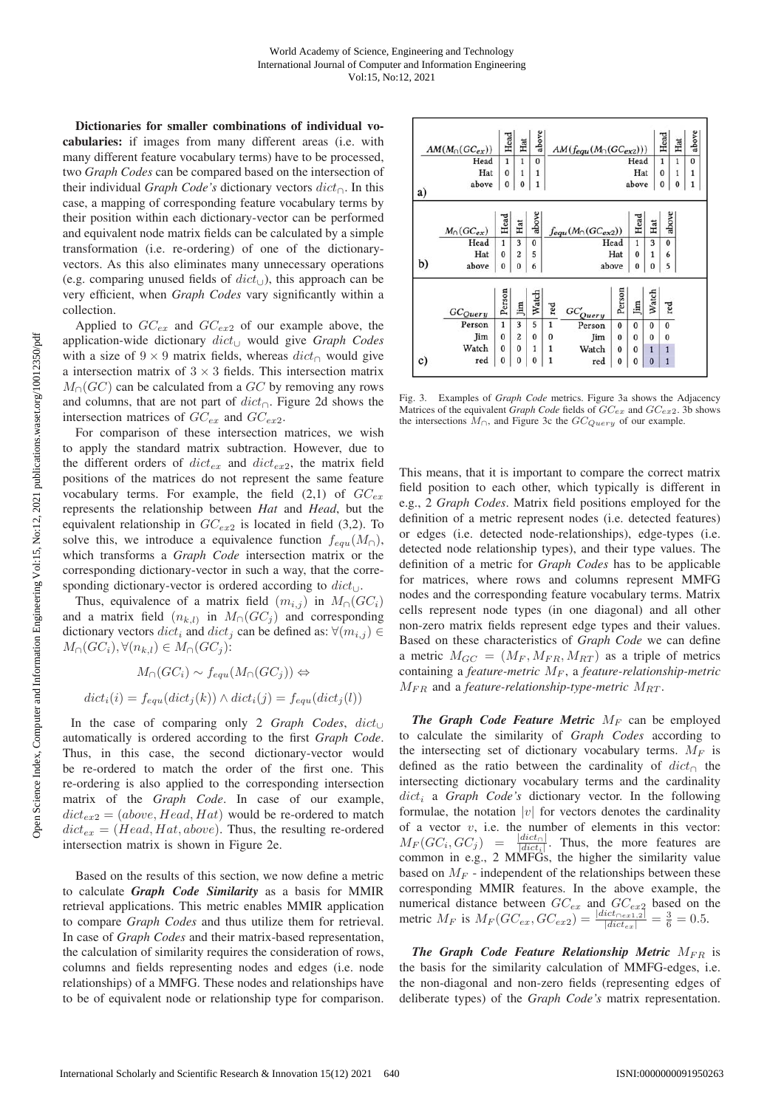Dictionaries for smaller combinations of individual vocabularies: if images from many different areas (i.e. with many different feature vocabulary terms) have to be processed, two *Graph Codes* can be compared based on the intersection of their individual *Graph Code's* dictionary vectors dict∩. In this case, a mapping of corresponding feature vocabulary terms by their position within each dictionary-vector can be performed and equivalent node matrix fields can be calculated by a simple transformation (i.e. re-ordering) of one of the dictionaryvectors. As this also eliminates many unnecessary operations (e.g. comparing unused fields of  $dict_{\cup}$ ), this approach can be very efficient, when *Graph Codes* vary significantly within a collection.

Applied to  $GC_{ex}$  and  $GC_{ex2}$  of our example above, the application-wide dictionary dict<sup>∪</sup> would give *Graph Codes* with a size of  $9 \times 9$  matrix fields, whereas  $dict_{\cap}$  would give a intersection matrix of  $3 \times 3$  fields. This intersection matrix  $M<sub>∩</sub>(GC)$  can be calculated from a  $GC$  by removing any rows and columns, that are not part of  $dict_{\cap}$ . Figure 2d shows the intersection matrices of  $GC_{ex}$  and  $GC_{ex2}$ .

For comparison of these intersection matrices, we wish to apply the standard matrix subtraction. However, due to the different orders of  $dict_{ex}$  and  $dict_{ex2}$ , the matrix field positions of the matrices do not represent the same feature vocabulary terms. For example, the field  $(2,1)$  of  $GC_{ex}$ represents the relationship between *Hat* and *Head*, but the equivalent relationship in  $GC_{ex2}$  is located in field (3,2). To solve this, we introduce a equivalence function  $f_{equ}(M<sub>∩</sub>)$ , which transforms a *Graph Code* intersection matrix or the corresponding dictionary-vector in such a way, that the corresponding dictionary-vector is ordered according to  $dict_{\cup}$ .

Thus, equivalence of a matrix field  $(m_{i,j})$  in  $M_{\Omega}(GC_i)$ and a matrix field  $(n_{k,l})$  in  $M_\cap (GC_i)$  and corresponding dictionary vectors  $dict_i$  and  $dict_j$  can be defined as:  $\forall (m_{i,j}) \in$  $M_{\cap}(GC_i), \forall (n_{k,l}) \in M_{\cap}(GC_i)$ :

 $M_{\cap}(GC_i) \sim f_{equ}(M_{\cap}(GC_i)) \Leftrightarrow$  $dict_i(i) = f_{equ}(dict_i(k)) \wedge dict_i(j) = f_{equ}(dict_i(l))$ 

In the case of comparing only 2 *Graph Codes*, dict<sup>∪</sup> automatically is ordered according to the first *Graph Code*. Thus, in this case, the second dictionary-vector would be re-ordered to match the order of the first one. This re-ordering is also applied to the corresponding intersection matrix of the *Graph Code*. In case of our example,  $dict_{ex2} = (above, Head, Hat)$  would be re-ordered to match  $dict_{ex} = (Head, Hat, above)$ . Thus, the resulting re-ordered intersection matrix is shown in Figure 2e.

Based on the results of this section, we now define a metric to calculate *Graph Code Similarity* as a basis for MMIR retrieval applications. This metric enables MMIR application to compare *Graph Codes* and thus utilize them for retrieval. In case of *Graph Codes* and their matrix-based representation, the calculation of similarity requires the consideration of rows, columns and fields representing nodes and edges (i.e. node relationships) of a MMFG. These nodes and relationships have to be of equivalent node or relationship type for comparison.

| AM(M <sub>0</sub> (GC <sub>ex</sub> )) |                      | Head         | Hat            | above        |              | $AM(fequ(M0(GCex2)))$         |          |          |              | Head        | Hat    | above             |
|----------------------------------------|----------------------|--------------|----------------|--------------|--------------|-------------------------------|----------|----------|--------------|-------------|--------|-------------------|
|                                        | Head<br>Hat          |              | $\mathbf{1}$   | $\bf{0}$     | Head<br>Hat  |                               |          |          |              | 1           | 1<br>1 | $\mathbf{0}$<br>1 |
|                                        |                      |              | $\mathbf{1}$   | $\mathbf{1}$ |              |                               |          |          |              | $\bf{0}$    |        |                   |
| a)                                     | $\bf{0}$             | 0            | 1              | above        |              |                               |          | 0        | 0            |             |        |                   |
|                                        | $M_{\cap} (GC_{ex})$ | Head         | Hat            | above        |              | $f_{equ}(M_{\cap}(GC_{ex2}))$ |          | Head     | Hat          | above       |        |                   |
|                                        | Head                 | $\mathbf{1}$ | 3              | $\bf{0}$     |              |                               | Head     | 1        | 3            | $\mathbf 0$ |        |                   |
|                                        | Hat                  | $\theta$     | $\overline{2}$ | 5            |              | Hat                           |          |          | 1            | 6           |        |                   |
| b)                                     | above                | 0            | 0              | 6            |              | above<br>$\bf{0}$             |          |          | $\bf{0}$     | 5           |        |                   |
|                                        | $GC_{Query}$         | Person       | <b>Jim</b>     | Watch        | $_{\rm red}$ | $GC'_{Query}$                 | Person   | 且        | Watch        | red         |        |                   |
|                                        | Person               | $\mathbf{1}$ | 3              | 5            | $\mathbf{1}$ | Person                        | 0        | $\bf{0}$ | $\bf{0}$     | $\bf{0}$    |        |                   |
|                                        | Jim                  | $\bf{0}$     | $\overline{c}$ | 0            | $\bf{0}$     | Jim                           | $\bf{0}$ | $\bf{0}$ | $\bf{0}$     | $\bf{0}$    |        |                   |
|                                        | Watch                | $\bf{0}$     | $\bf{0}$       | 1            |              | Watch                         | $\bf{0}$ | $\bf{0}$ | $\mathbf{1}$ | 1           |        |                   |
| c)                                     | red                  | 0            | $\bf{0}$       | $\bf{0}$     | 1            | red                           | $\bf{0}$ | 0        | $\bf{0}$     | 1           |        |                   |

Fig. 3. Examples of *Graph Code* metrics. Figure 3a shows the Adjacency Matrices of the equivalent *Graph Code* fields of  $GC_{ex}$  and  $GC_{ex2}$ . 3b shows the intersections  $M_{\cap}$ , and Figure 3c the  $GC_{Query}$  of our example.

This means, that it is important to compare the correct matrix field position to each other, which typically is different in e.g., 2 *Graph Codes*. Matrix field positions employed for the definition of a metric represent nodes (i.e. detected features) or edges (i.e. detected node-relationships), edge-types (i.e. detected node relationship types), and their type values. The definition of a metric for *Graph Codes* has to be applicable for matrices, where rows and columns represent MMFG nodes and the corresponding feature vocabulary terms. Matrix cells represent node types (in one diagonal) and all other non-zero matrix fields represent edge types and their values. Based on these characteristics of *Graph Code* we can define a metric  $M_{GC} = (M_F, M_{FR}, M_{RT})$  as a triple of metrics containing a *feature-metric*  $M_F$ , a *feature-relationship-metric*  $M_{FR}$  and a *feature-relationship-type-metric*  $M_{RT}$ .

*The Graph Code Feature Metric*  $M_F$  can be employed to calculate the similarity of *Graph Codes* according to the intersecting set of dictionary vocabulary terms.  $M_F$  is defined as the ratio between the cardinality of  $dict<sub>∩</sub>$  the intersecting dictionary vocabulary terms and the cardinality  $dict<sub>i</sub>$  a *Graph Code's* dictionary vector. In the following formulae, the notation |v| for vectors denotes the cardinality of a vector  $v$ , i.e. the number of elements in this vector:  $M_F(GC_i, GC_j) = \frac{|dict_{\cap}|}{|dict_i|}$ . Thus, the more features are common in e.g., 2 MMFGs, the higher the similarity value based on  $M_F$  - independent of the relationships between these corresponding MMIR features. In the above example, the numerical distance between  $GC_{ex}$  and  $GC_{ex2}$  based on the metric  $M_F$  is  $M_F(GC_{ex}, GC_{ex2}) = \frac{|dict_{0ex1,2}|}{|dict_{ex}|} = \frac{3}{6} = 0.5$ .

*The Graph Code Feature Relationship Metric*  $M_{FB}$  is the basis for the similarity calculation of MMFG-edges, i.e. the non-diagonal and non-zero fields (representing edges of deliberate types) of the *Graph Code's* matrix representation.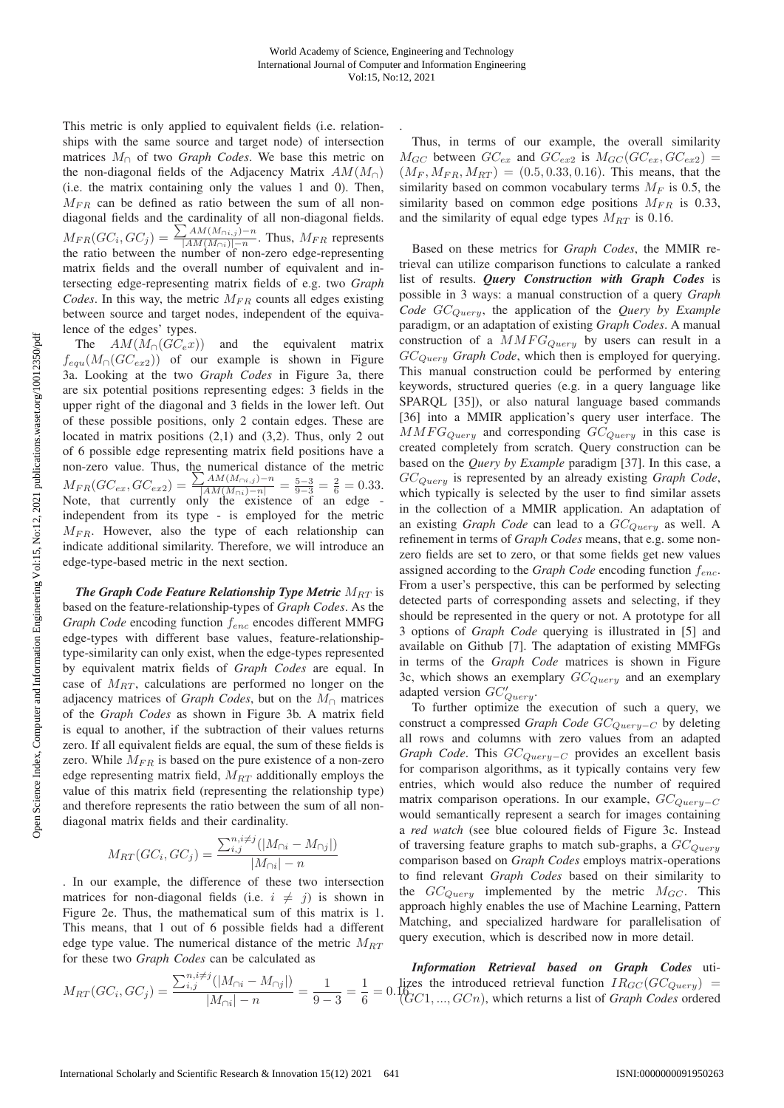.

This metric is only applied to equivalent fields (i.e. relationships with the same source and target node) of intersection matrices M<sup>∩</sup> of two *Graph Codes*. We base this metric on the non-diagonal fields of the Adjacency Matrix  $AM(M<sub>∩</sub>)$ (i.e. the matrix containing only the values 1 and 0). Then,  $M_{FR}$  can be defined as ratio between the sum of all nondiagonal fields and the cardinality of all non-diagonal fields.  $M_{FR}(GC_i, GC_j) = \frac{\sum AM(M_{O(i,j)})-n}{|AM(M_{O(i)})|-n}$ . Thus,  $M_{FR}$  represents the ratio between the number of non-zero edge-representing matrix fields and the overall number of equivalent and intersecting edge-representing matrix fields of e.g. two *Graph Codes*. In this way, the metric  $M_{FR}$  counts all edges existing between source and target nodes, independent of the equivalence of the edges' types.

The  $AM(M<sub>∩</sub>(GC<sub>e</sub>x))$  and the equivalent matrix  $f_{equ}(M_{\cap}(GC_{ex2}))$  of our example is shown in Figure 3a. Looking at the two *Graph Codes* in Figure 3a, there are six potential positions representing edges: 3 fields in the upper right of the diagonal and 3 fields in the lower left. Out of these possible positions, only 2 contain edges. These are located in matrix positions  $(2,1)$  and  $(3,2)$ . Thus, only 2 out of 6 possible edge representing matrix field positions have a non-zero value. Thus, the numerical distance of the metric  $M_{FR}(GC_{ex},GC_{ex2}) = \frac{\sum AM(M_{\cap i,j})-n}{|AM(M_{\cap i})-n|} = \frac{5-3}{9-3} = \frac{2}{6} = 0.33.$ Note, that currently only the existence of an edge independent from its type - is employed for the metric  $M_{FR}$ . However, also the type of each relationship can indicate additional similarity. Therefore, we will introduce an edge-type-based metric in the next section.

*The Graph Code Feature Relationship Type Metric*  $M_{RT}$  is based on the feature-relationship-types of *Graph Codes*. As the *Graph Code* encoding function  $f_{enc}$  encodes different MMFG edge-types with different base values, feature-relationshiptype-similarity can only exist, when the edge-types represented by equivalent matrix fields of *Graph Codes* are equal. In case of  $M_{RT}$ , calculations are performed no longer on the adjacency matrices of *Graph Codes*, but on the  $M_{\cap}$  matrices of the *Graph Codes* as shown in Figure 3b. A matrix field is equal to another, if the subtraction of their values returns zero. If all equivalent fields are equal, the sum of these fields is zero. While  $M_{FR}$  is based on the pure existence of a non-zero edge representing matrix field,  $M_{RT}$  additionally employs the value of this matrix field (representing the relationship type) and therefore represents the ratio between the sum of all nondiagonal matrix fields and their cardinality.

$$
M_{RT}(GC_i, GC_j) = \frac{\sum_{i,j}^{n,i \neq j} (|M_{\cap i} - M_{\cap j}|)}{|M_{\cap i}| - n}
$$

. In our example, the difference of these two intersection matrices for non-diagonal fields (i.e.  $i \neq j$ ) is shown in Figure 2e. Thus, the mathematical sum of this matrix is 1. This means, that 1 out of 6 possible fields had a different edge type value. The numerical distance of the metric  $M_{RT}$ for these two *Graph Codes* can be calculated as

Thus, in terms of our example, the overall similarity  $M_{GC}$  between  $GC_{ex}$  and  $GC_{ex2}$  is  $M_{GC}(GC_{ex}, GC_{ex2})$  =  $(M_F, M_{FR}, M_{RT}) = (0.5, 0.33, 0.16)$ . This means, that the similarity based on common vocabulary terms  $M_F$  is 0.5, the similarity based on common edge positions  $M_{FR}$  is 0.33, and the similarity of equal edge types  $M_{RT}$  is 0.16.

Based on these metrics for *Graph Codes*, the MMIR retrieval can utilize comparison functions to calculate a ranked list of results. *Query Construction with Graph Codes* is possible in 3 ways: a manual construction of a query *Graph Code*  $GC_{Ouery}$ , the application of the *Query by Example* paradigm, or an adaptation of existing *Graph Codes*. A manual construction of a  $MMFG_{Query}$  by users can result in a GCQuery *Graph Code*, which then is employed for querying. This manual construction could be performed by entering keywords, structured queries (e.g. in a query language like SPARQL [35]), or also natural language based commands [36] into a MMIR application's query user interface. The  $MMFG_{Query}$  and corresponding  $GC_{Query}$  in this case is created completely from scratch. Query construction can be based on the *Query by Example* paradigm [37]. In this case, a GCQuery is represented by an already existing *Graph Code*, which typically is selected by the user to find similar assets in the collection of a MMIR application. An adaptation of an existing *Graph Code* can lead to a  $GC_{Query}$  as well. A refinement in terms of *Graph Codes* means, that e.g. some nonzero fields are set to zero, or that some fields get new values assigned according to the *Graph Code* encoding function  $f_{enc}$ . From a user's perspective, this can be performed by selecting detected parts of corresponding assets and selecting, if they should be represented in the query or not. A prototype for all 3 options of *Graph Code* querying is illustrated in [5] and available on Github [7]. The adaptation of existing MMFGs in terms of the *Graph Code* matrices is shown in Figure 3c, which shows an exemplary  $GC_{Query}$  and an exemplary adapted version  $GC'_{Querv}$ .

To further optimize the execution of such a query, we construct a compressed *Graph Code GC<sub>Query−C</sub>* by deleting all rows and columns with zero values from an adapted Graph Code. This GC<sub>Query−C</sub> provides an excellent basis for comparison algorithms, as it typically contains very few entries, which would also reduce the number of required matrix comparison operations. In our example,  $GC_{Querv-C}$ would semantically represent a search for images containing a *red watch* (see blue coloured fields of Figure 3c. Instead of traversing feature graphs to match sub-graphs, a  $GC_{Querv}$ comparison based on *Graph Codes* employs matrix-operations to find relevant *Graph Codes* based on their similarity to the  $GC_{Query}$  implemented by the metric  $M_{GC}$ . This approach highly enables the use of Machine Learning, Pattern Matching, and specialized hardware for parallelisation of query execution, which is described now in more detail.

**Information Retrieval based on Graph Codes** 
$$
M_{RT}(GC_i, GC_j) = \frac{\sum_{i,j}^{n,i\neq j}(|M_{\cap i} - M_{\cap j}|)}{|M_{\cap i}| - n} = \frac{1}{9-3} = \frac{1}{6} = 0.1
$$
 *less the introduced retrieval function*  $IR_{GC}(GC_{Query}) = \frac{\sum_{i,j}^{n,i\neq j}(|M_{\cap i} - M_{\cap j}|)}{|M_{\cap i}| - n} = \frac{1}{9-3} = \frac{1}{6} = 0.1$  *(GCL, ..., GCn), which returns a list of Graph Codes ordered*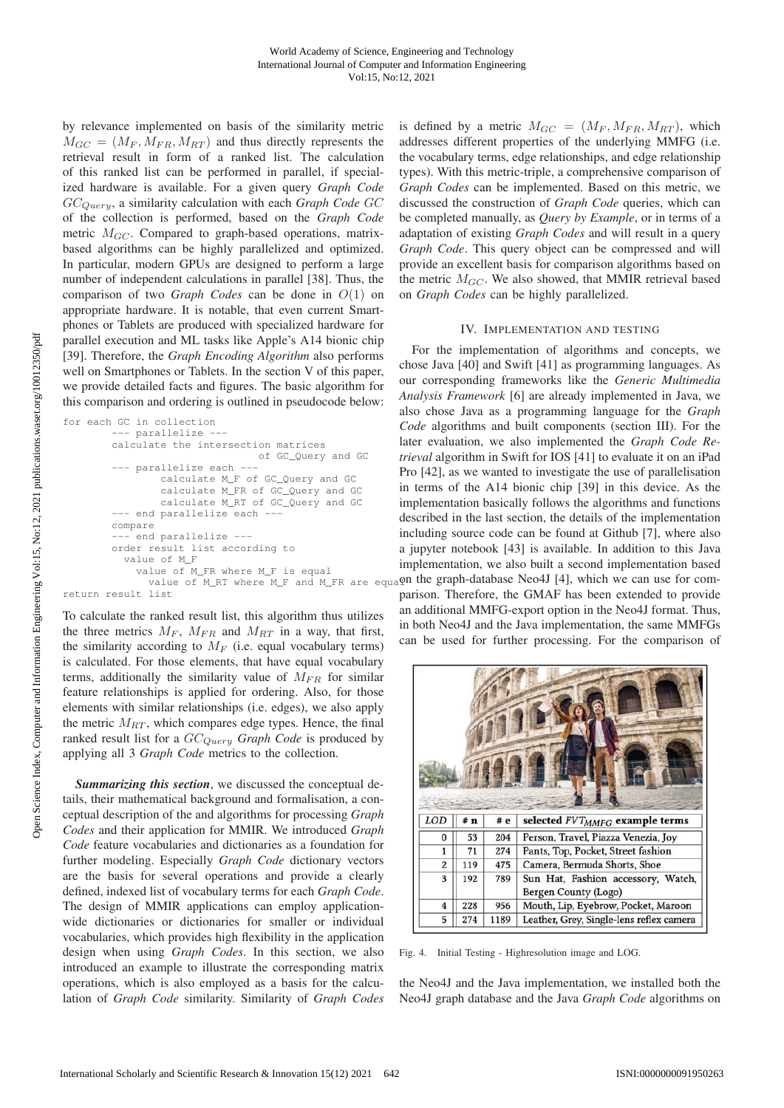by relevance implemented on basis of the similarity metric  $M_{GC} = (M_F, M_{FR}, M_{RT})$  and thus directly represents the retrieval result in form of a ranked list. The calculation of this ranked list can be performed in parallel, if specialized hardware is available. For a given query *Graph Code* GCQuery, a similarity calculation with each *Graph Code* GC of the collection is performed, based on the *Graph Code* metric  $M_{GC}$ . Compared to graph-based operations, matrixbased algorithms can be highly parallelized and optimized. In particular, modern GPUs are designed to perform a large number of independent calculations in parallel [38]. Thus, the comparison of two *Graph Codes* can be done in O(1) on appropriate hardware. It is notable, that even current Smartphones or Tablets are produced with specialized hardware for parallel execution and ML tasks like Apple's A14 bionic chip [39]. Therefore, the *Graph Encoding Algorithm* also performs well on Smartphones or Tablets. In the section V of this paper, we provide detailed facts and figures. The basic algorithm for this comparison and ordering is outlined in pseudocode below:

```
for each GC in collection
        --- parallelize ---
        calculate the intersection matrices
                                of GC_Query and GC
        --- parallelize each ---
                calculate M_F of GC_Query and GC
                calculate M_FR of GC_Query and GC
                calculate M_RT of GC_Query and GC
          - end parallelize each -
        compare
        --- end parallelize ---
        order result list according to
          value of M_F
            value of M_FR where M_F is equal
return result list
```
To calculate the ranked result list, this algorithm thus utilizes the three metrics  $M_F$ ,  $M_{FR}$  and  $M_{RT}$  in a way, that first, the similarity according to  $M_F$  (i.e. equal vocabulary terms) is calculated. For those elements, that have equal vocabulary terms, additionally the similarity value of  $M_{FR}$  for similar feature relationships is applied for ordering. Also, for those elements with similar relationships (i.e. edges), we also apply the metric  $M_{RT}$ , which compares edge types. Hence, the final ranked result list for a  $GC_{Query}$  *Graph Code* is produced by applying all 3 *Graph Code* metrics to the collection.

*Summarizing this section*, we discussed the conceptual details, their mathematical background and formalisation, a conceptual description of the and algorithms for processing *Graph Codes* and their application for MMIR. We introduced *Graph Code* feature vocabularies and dictionaries as a foundation for further modeling. Especially *Graph Code* dictionary vectors are the basis for several operations and provide a clearly defined, indexed list of vocabulary terms for each *Graph Code*. The design of MMIR applications can employ applicationwide dictionaries or dictionaries for smaller or individual vocabularies, which provides high flexibility in the application design when using *Graph Codes*. In this section, we also introduced an example to illustrate the corresponding matrix operations, which is also employed as a basis for the calculation of *Graph Code* similarity. Similarity of *Graph Codes*

is defined by a metric  $M_{GC} = (M_F, M_{FR}, M_{RT})$ , which addresses different properties of the underlying MMFG (i.e. the vocabulary terms, edge relationships, and edge relationship types). With this metric-triple, a comprehensive comparison of *Graph Codes* can be implemented. Based on this metric, we discussed the construction of *Graph Code* queries, which can be completed manually, as *Query by Example*, or in terms of a adaptation of existing *Graph Codes* and will result in a query *Graph Code*. This query object can be compressed and will provide an excellent basis for comparison algorithms based on the metric  $M_{GC}$ . We also showed, that MMIR retrieval based on *Graph Codes* can be highly parallelized.

### IV. IMPLEMENTATION AND TESTING

 $v_{\text{a}}$  and  $v_{\text{b}}$  and  $v_{\text{c}}$  are equal the graph-database Neo4J [4], which we can use for com-For the implementation of algorithms and concepts, we chose Java [40] and Swift [41] as programming languages. As our corresponding frameworks like the *Generic Multimedia Analysis Framework* [6] are already implemented in Java, we also chose Java as a programming language for the *Graph Code* algorithms and built components (section III). For the later evaluation, we also implemented the *Graph Code Retrieval* algorithm in Swift for IOS [41] to evaluate it on an iPad Pro [42], as we wanted to investigate the use of parallelisation in terms of the A14 bionic chip [39] in this device. As the implementation basically follows the algorithms and functions described in the last section, the details of the implementation including source code can be found at Github [7], where also a jupyter notebook [43] is available. In addition to this Java implementation, we also built a second implementation based parison. Therefore, the GMAF has been extended to provide an additional MMFG-export option in the Neo4J format. Thus, in both Neo4J and the Java implementation, the same MMFGs can be used for further processing. For the comparison of



Fig. 4. Initial Testing - Highresolution image and LOG.

the Neo4J and the Java implementation, we installed both the Neo4J graph database and the Java *Graph Code* algorithms on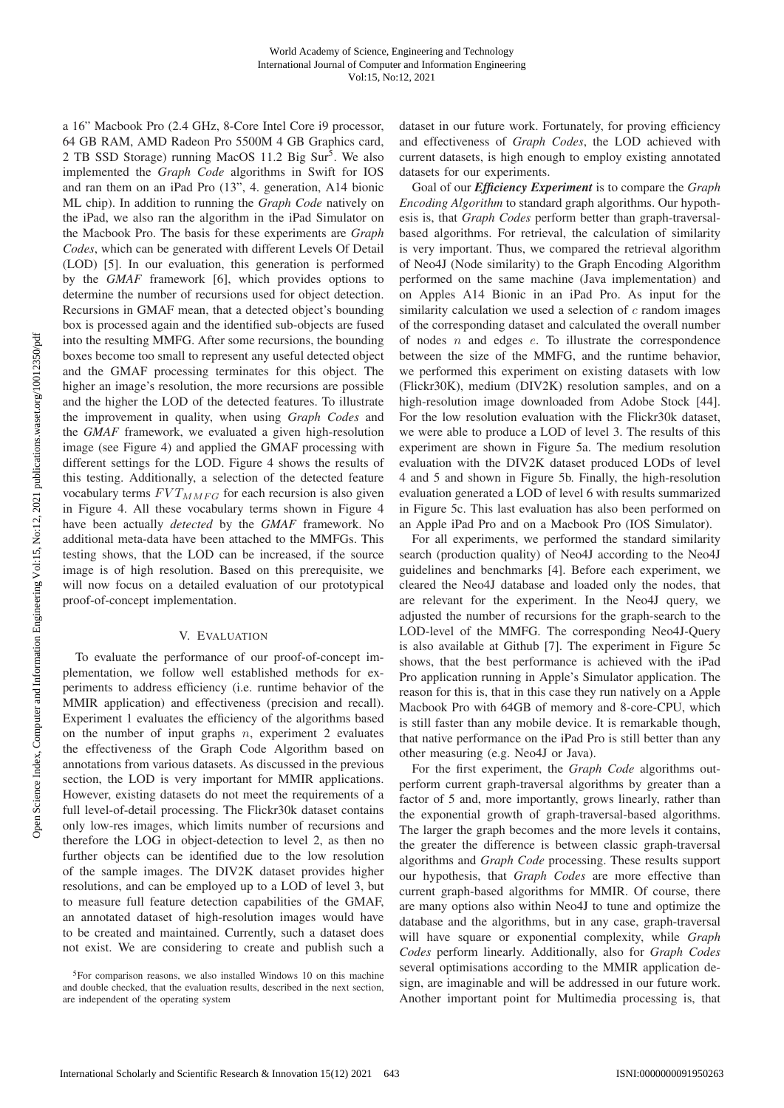a 16" Macbook Pro (2.4 GHz, 8-Core Intel Core i9 processor, 64 GB RAM, AMD Radeon Pro 5500M 4 GB Graphics card, 2 TB SSD Storage) running MacOS 11.2 Big Sur<sup>5</sup>. We also implemented the *Graph Code* algorithms in Swift for IOS and ran them on an iPad Pro (13", 4. generation, A14 bionic ML chip). In addition to running the *Graph Code* natively on the iPad, we also ran the algorithm in the iPad Simulator on the Macbook Pro. The basis for these experiments are *Graph Codes*, which can be generated with different Levels Of Detail (LOD) [5]. In our evaluation, this generation is performed by the *GMAF* framework [6], which provides options to determine the number of recursions used for object detection. Recursions in GMAF mean, that a detected object's bounding box is processed again and the identified sub-objects are fused into the resulting MMFG. After some recursions, the bounding boxes become too small to represent any useful detected object and the GMAF processing terminates for this object. The higher an image's resolution, the more recursions are possible and the higher the LOD of the detected features. To illustrate the improvement in quality, when using *Graph Codes* and the *GMAF* framework, we evaluated a given high-resolution image (see Figure 4) and applied the GMAF processing with different settings for the LOD. Figure 4 shows the results of this testing. Additionally, a selection of the detected feature vocabulary terms  $FVT_{MMFG}$  for each recursion is also given in Figure 4. All these vocabulary terms shown in Figure 4 have been actually *detected* by the *GMAF* framework. No additional meta-data have been attached to the MMFGs. This testing shows, that the LOD can be increased, if the source image is of high resolution. Based on this prerequisite, we will now focus on a detailed evaluation of our prototypical proof-of-concept implementation.

## V. EVALUATION

To evaluate the performance of our proof-of-concept implementation, we follow well established methods for experiments to address efficiency (i.e. runtime behavior of the MMIR application) and effectiveness (precision and recall). Experiment 1 evaluates the efficiency of the algorithms based on the number of input graphs  $n$ , experiment 2 evaluates the effectiveness of the Graph Code Algorithm based on annotations from various datasets. As discussed in the previous section, the LOD is very important for MMIR applications. However, existing datasets do not meet the requirements of a full level-of-detail processing. The Flickr30k dataset contains only low-res images, which limits number of recursions and therefore the LOG in object-detection to level 2, as then no further objects can be identified due to the low resolution of the sample images. The DIV2K dataset provides higher resolutions, and can be employed up to a LOD of level 3, but to measure full feature detection capabilities of the GMAF, an annotated dataset of high-resolution images would have to be created and maintained. Currently, such a dataset does not exist. We are considering to create and publish such a

dataset in our future work. Fortunately, for proving efficiency and effectiveness of *Graph Codes*, the LOD achieved with current datasets, is high enough to employ existing annotated datasets for our experiments.

Goal of our *Efficiency Experiment* is to compare the *Graph Encoding Algorithm* to standard graph algorithms. Our hypothesis is, that *Graph Codes* perform better than graph-traversalbased algorithms. For retrieval, the calculation of similarity is very important. Thus, we compared the retrieval algorithm of Neo4J (Node similarity) to the Graph Encoding Algorithm performed on the same machine (Java implementation) and on Apples A14 Bionic in an iPad Pro. As input for the similarity calculation we used a selection of  $c$  random images of the corresponding dataset and calculated the overall number of nodes  $n$  and edges  $e$ . To illustrate the correspondence between the size of the MMFG, and the runtime behavior, we performed this experiment on existing datasets with low (Flickr30K), medium (DIV2K) resolution samples, and on a high-resolution image downloaded from Adobe Stock [44]. For the low resolution evaluation with the Flickr30k dataset, we were able to produce a LOD of level 3. The results of this experiment are shown in Figure 5a. The medium resolution evaluation with the DIV2K dataset produced LODs of level 4 and 5 and shown in Figure 5b. Finally, the high-resolution evaluation generated a LOD of level 6 with results summarized in Figure 5c. This last evaluation has also been performed on an Apple iPad Pro and on a Macbook Pro (IOS Simulator).

For all experiments, we performed the standard similarity search (production quality) of Neo4J according to the Neo4J guidelines and benchmarks [4]. Before each experiment, we cleared the Neo4J database and loaded only the nodes, that are relevant for the experiment. In the Neo4J query, we adjusted the number of recursions for the graph-search to the LOD-level of the MMFG. The corresponding Neo4J-Query is also available at Github [7]. The experiment in Figure 5c shows, that the best performance is achieved with the iPad Pro application running in Apple's Simulator application. The reason for this is, that in this case they run natively on a Apple Macbook Pro with 64GB of memory and 8-core-CPU, which is still faster than any mobile device. It is remarkable though, that native performance on the iPad Pro is still better than any other measuring (e.g. Neo4J or Java).

For the first experiment, the *Graph Code* algorithms outperform current graph-traversal algorithms by greater than a factor of 5 and, more importantly, grows linearly, rather than the exponential growth of graph-traversal-based algorithms. The larger the graph becomes and the more levels it contains, the greater the difference is between classic graph-traversal algorithms and *Graph Code* processing. These results support our hypothesis, that *Graph Codes* are more effective than current graph-based algorithms for MMIR. Of course, there are many options also within Neo4J to tune and optimize the database and the algorithms, but in any case, graph-traversal will have square or exponential complexity, while *Graph Codes* perform linearly. Additionally, also for *Graph Codes* several optimisations according to the MMIR application design, are imaginable and will be addressed in our future work. Another important point for Multimedia processing is, that

<sup>&</sup>lt;sup>5</sup>For comparison reasons, we also installed Windows 10 on this machine and double checked, that the evaluation results, described in the next section, are independent of the operating system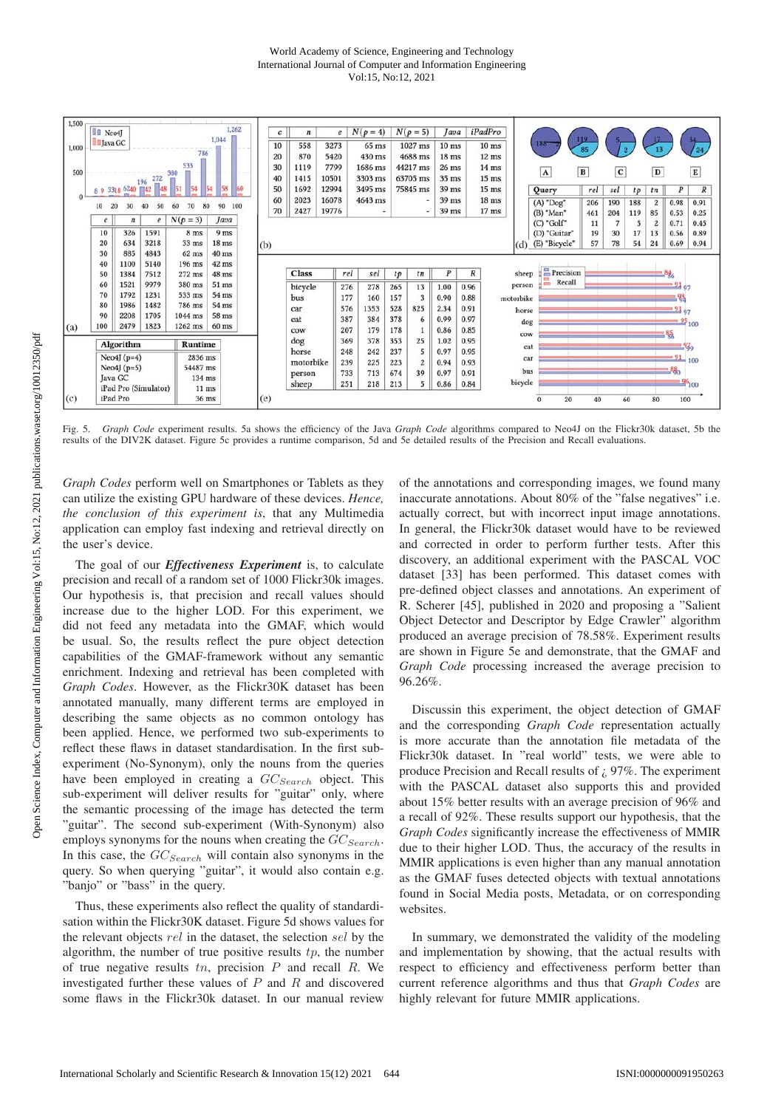### World Academy of Science, Engineering and Technology International Journal of Computer and Information Engineering Vol:15, No:12, 2021



Fig. 5. *Graph Code* experiment results. 5a shows the efficiency of the Java *Graph Code* algorithms compared to Neo4J on the Flickr30k dataset, 5b the results of the DIV2K dataset. Figure 5c provides a runtime comparison, 5d and 5e detailed results of the Precision and Recall evaluations.

*Graph Codes* perform well on Smartphones or Tablets as they can utilize the existing GPU hardware of these devices. *Hence, the conclusion of this experiment is*, that any Multimedia application can employ fast indexing and retrieval directly on the user's device.

The goal of our *Effectiveness Experiment* is, to calculate precision and recall of a random set of 1000 Flickr30k images. Our hypothesis is, that precision and recall values should increase due to the higher LOD. For this experiment, we did not feed any metadata into the GMAF, which would be usual. So, the results reflect the pure object detection capabilities of the GMAF-framework without any semantic enrichment. Indexing and retrieval has been completed with *Graph Codes*. However, as the Flickr30K dataset has been annotated manually, many different terms are employed in describing the same objects as no common ontology has been applied. Hence, we performed two sub-experiments to reflect these flaws in dataset standardisation. In the first subexperiment (No-Synonym), only the nouns from the queries have been employed in creating a  $GC_{Search}$  object. This sub-experiment will deliver results for "guitar" only, where the semantic processing of the image has detected the term "guitar". The second sub-experiment (With-Synonym) also employs synonyms for the nouns when creating the  $GC_{Search}$ . In this case, the  $GC_{Search}$  will contain also synonyms in the query. So when querying "guitar", it would also contain e.g. "banjo" or "bass" in the query.

Thus, these experiments also reflect the quality of standardisation within the Flickr30K dataset. Figure 5d shows values for the relevant objects rel in the dataset, the selection sel by the algorithm, the number of true positive results  $tp$ , the number of true negative results  $tn$ , precision  $P$  and recall  $R$ . We investigated further these values of  $P$  and  $R$  and discovered some flaws in the Flickr30k dataset. In our manual review

of the annotations and corresponding images, we found many inaccurate annotations. About 80% of the "false negatives" i.e. actually correct, but with incorrect input image annotations. In general, the Flickr30k dataset would have to be reviewed and corrected in order to perform further tests. After this discovery, an additional experiment with the PASCAL VOC dataset [33] has been performed. This dataset comes with pre-defined object classes and annotations. An experiment of R. Scherer [45], published in 2020 and proposing a "Salient Object Detector and Descriptor by Edge Crawler" algorithm produced an average precision of 78.58%. Experiment results are shown in Figure 5e and demonstrate, that the GMAF and *Graph Code* processing increased the average precision to 96.26%.

Discussin this experiment, the object detection of GMAF and the corresponding *Graph Code* representation actually is more accurate than the annotation file metadata of the Flickr30k dataset. In "real world" tests, we were able to produce Precision and Recall results of ¿ 97%. The experiment with the PASCAL dataset also supports this and provided about 15% better results with an average precision of 96% and a recall of 92%. These results support our hypothesis, that the *Graph Codes* significantly increase the effectiveness of MMIR due to their higher LOD. Thus, the accuracy of the results in MMIR applications is even higher than any manual annotation as the GMAF fuses detected objects with textual annotations found in Social Media posts, Metadata, or on corresponding websites.

In summary, we demonstrated the validity of the modeling and implementation by showing, that the actual results with respect to efficiency and effectiveness perform better than current reference algorithms and thus that *Graph Codes* are highly relevant for future MMIR applications.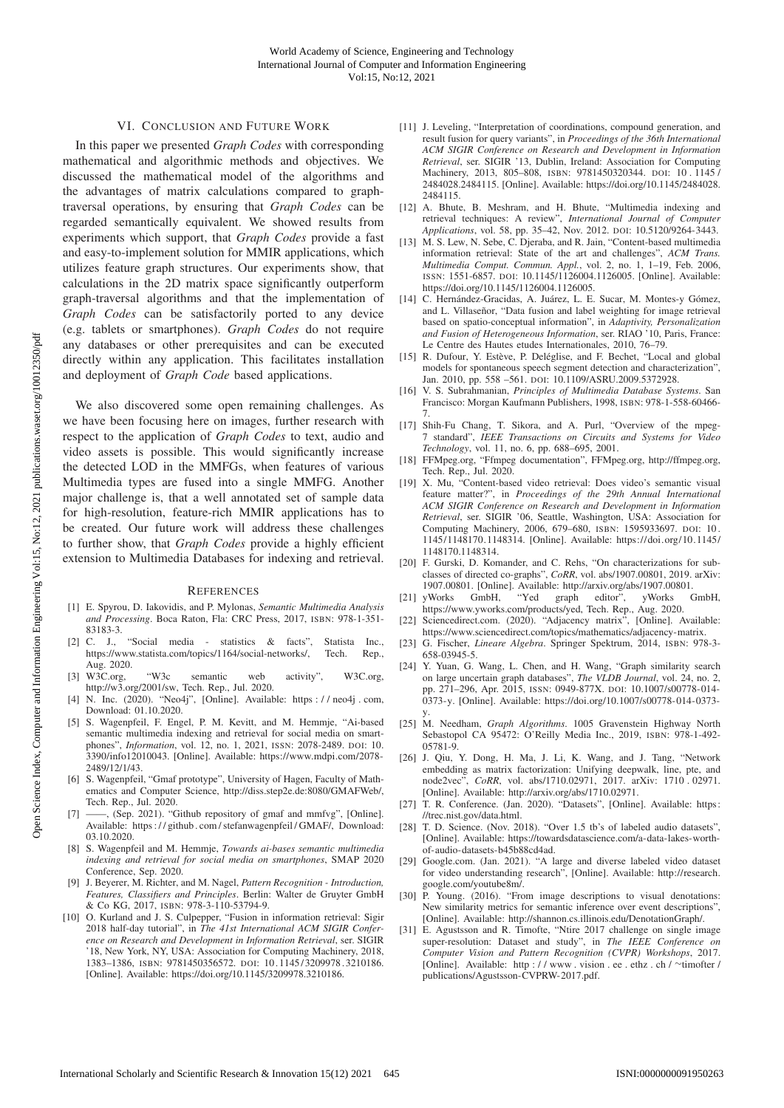## VI. CONCLUSION AND FUTURE WORK

In this paper we presented *Graph Codes* with corresponding mathematical and algorithmic methods and objectives. We discussed the mathematical model of the algorithms and the advantages of matrix calculations compared to graphtraversal operations, by ensuring that *Graph Codes* can be regarded semantically equivalent. We showed results from experiments which support, that *Graph Codes* provide a fast and easy-to-implement solution for MMIR applications, which utilizes feature graph structures. Our experiments show, that calculations in the 2D matrix space significantly outperform graph-traversal algorithms and that the implementation of *Graph Codes* can be satisfactorily ported to any device (e.g. tablets or smartphones). *Graph Codes* do not require any databases or other prerequisites and can be executed directly within any application. This facilitates installation and deployment of *Graph Code* based applications.

We also discovered some open remaining challenges. As we have been focusing here on images, further research with respect to the application of *Graph Codes* to text, audio and video assets is possible. This would significantly increase the detected LOD in the MMFGs, when features of various Multimedia types are fused into a single MMFG. Another major challenge is, that a well annotated set of sample data for high-resolution, feature-rich MMIR applications has to be created. Our future work will address these challenges to further show, that *Graph Codes* provide a highly efficient extension to Multimedia Databases for indexing and retrieval.

#### **REFERENCES**

- [1] E. Spyrou, D. Iakovidis, and P. Mylonas, *Semantic Multimedia Analysis and Processing*. Boca Raton, Fla: CRC Press, 2017, ISBN: 978-1-351- 83183-3.
- [2] C. J., "Social media statistics & facts", Statista Inc., https://www.statista.com/topics/1164/social-networks/, Aug. 2020.
- [3] W3C.org, "W3c semantic web activity", W3C.org, http://w3.org/2001/sw, Tech. Rep., Jul. 2020.
- [4] N. Inc. (2020). "Neo4j", [Online]. Available: https:// neo4j . com, Download: 01.10.2020.
- [5] S. Wagenpfeil, F. Engel, P. M. Kevitt, and M. Hemmje, "Ai-based semantic multimedia indexing and retrieval for social media on smartphones", *Information*, vol. 12, no. 1, 2021, ISSN: 2078-2489. DOI: 10. 3390/info12010043. [Online]. Available: https://www.mdpi.com/2078- 2489/12/1/43.
- [6] S. Wagenpfeil, "Gmaf prototype", University of Hagen, Faculty of Mathematics and Computer Science, http://diss.step2e.de:8080/GMAFWeb/, Tech. Rep., Jul. 2020.
- [7] ——, (Sep. 2021). "Github repository of gmaf and mmfvg", [Online]. Available: https : / / github . com / stefanwagenpfeil / GMAF/, Download: 03.10.2020.
- [8] S. Wagenpfeil and M. Hemmje, *Towards ai-bases semantic multimedia indexing and retrieval for social media on smartphones*, SMAP 2020 Conference, Sep. 2020.
- [9] J. Beyerer, M. Richter, and M. Nagel, *Pattern Recognition Introduction, Features, Classifiers and Principles*. Berlin: Walter de Gruyter GmbH & Co KG, 2017, ISBN: 978-3-110-53794-9.
- [10] O. Kurland and J. S. Culpepper, "Fusion in information retrieval: Sigir 2018 half-day tutorial", in *The 41st International ACM SIGIR Conference on Research and Development in Information Retrieval*, ser. SIGIR '18, New York, NY, USA: Association for Computing Machinery, 2018, 1383–1386, ISBN: 9781450356572. DOI: 10. 1145/ 3209978. 3210186. [Online]. Available: https://doi.org/10.1145/3209978.3210186.
- [11] J. Leveling, "Interpretation of coordinations, compound generation, and result fusion for query variants", in *Proceedings of the 36th International ACM SIGIR Conference on Research and Development in Information Retrieval*, ser. SIGIR '13, Dublin, Ireland: Association for Computing Machinery, 2013, 805–808, ISBN: 9781450320344. DOI: 10 . 1145 / 2484028.2484115. [Online]. Available: https://doi.org/10.1145/2484028. 2484115.
- [12] A. Bhute, B. Meshram, and H. Bhute, "Multimedia indexing and retrieval techniques: A review", *International Journal of Computer Applications*, vol. 58, pp. 35–42, Nov. 2012. DOI: 10.5120/9264-3443.
- [13] M. S. Lew, N. Sebe, C. Djeraba, and R. Jain, "Content-based multimedia information retrieval: State of the art and challenges", *ACM Trans. Multimedia Comput. Commun. Appl.*, vol. 2, no. 1, 1–19, Feb. 2006, ISSN: 1551-6857. DOI: 10.1145/1126004.1126005. [Online]. Available: https://doi.org/10.1145/1126004.1126005.
- [14] C. Hernández-Gracidas, A. Juárez, L. E. Sucar, M. Montes-y Gómez, and L. Villaseñor, "Data fusion and label weighting for image retrieval based on spatio-conceptual information", in *Adaptivity, Personalization and Fusion of Heterogeneous Information*, ser. RIAO '10, Paris, France: Le Centre des Hautes etudes Internationales, 2010, 76–79.
- [15] R. Dufour, Y. Estève, P. Deléglise, and F. Bechet, "Local and global models for spontaneous speech segment detection and characterization", Jan. 2010, pp. 558 –561. DOI: 10.1109/ASRU.2009.5372928.
- [16] V. S. Subrahmanian, *Principles of Multimedia Database Systems*. San Francisco: Morgan Kaufmann Publishers, 1998, ISBN: 978-1-558-60466- 7.
- [17] Shih-Fu Chang, T. Sikora, and A. Purl, "Overview of the mpeg-7 standard", *IEEE Transactions on Circuits and Systems for Video Technology*, vol. 11, no. 6, pp. 688–695, 2001.
- [18] FFMpeg.org, "Ffmpeg documentation", FFMpeg.org, http://ffmpeg.org, Tech. Rep., Jul. 2020.
- [19] X. Mu, "Content-based video retrieval: Does video's semantic visual feature matter?", in *Proceedings of the 29th Annual International ACM SIGIR Conference on Research and Development in Information Retrieval*, ser. SIGIR '06, Seattle, Washington, USA: Association for Computing Machinery, 2006, 679–680, ISBN: 1595933697. DOI: 10 . 1145/1148170.1148314. [Online]. Available: https://doi.org/10.1145/ 1148170.1148314.
- [20] F. Gurski, D. Komander, and C. Rehs, "On characterizations for subclasses of directed co-graphs", *CoRR*, vol. abs/1907.00801, 2019. arXiv: 1907.00801. [Online]. Available: http://arxiv.org/abs/1907.00801.
- [21] yWorks GmbH, "Yed graph editor", yWorks GmbH, https://www.yworks.com/products/yed, Tech. Rep., Aug. 2020.
- [22] Sciencedirect.com. (2020). "Adjacency matrix", [Online]. Available: https://www.sciencedirect.com/topics/mathematics/adjacency-matrix.
- [23] G. Fischer, *Lineare Algebra*. Springer Spektrum, 2014, ISBN: 978-3- 658-03945-5.
- [24] Y. Yuan, G. Wang, L. Chen, and H. Wang, "Graph similarity search on large uncertain graph databases", *The VLDB Journal*, vol. 24, no. 2, pp. 271–296, Apr. 2015, ISSN: 0949-877X. DOI: 10.1007/s00778-014- 0373-y. [Online]. Available: https://doi.org/10.1007/s00778-014-0373 y.
- [25] M. Needham, *Graph Algorithms*. 1005 Gravenstein Highway North Sebastopol CA 95472: O'Reilly Media Inc., 2019, ISBN: 978-1-492- 05781-9.
- [26] J. Qiu, Y. Dong, H. Ma, J. Li, K. Wang, and J. Tang, "Network embedding as matrix factorization: Unifying deepwalk, line, pte, and node2vec", *CoRR*, vol. abs/1710.02971, 2017. arXiv: 1710 . 02971. [Online]. Available: http://arxiv.org/abs/1710.02971.
- [27] T. R. Conference. (Jan. 2020). "Datasets", [Online]. Available: https: //trec.nist.gov/data.html.
- [28] T. D. Science. (Nov. 2018). "Over 1.5 tb's of labeled audio datasets", [Online]. Available: https://towardsdatascience.com/a-data-lakes-worthof-audio-datasets-b45b88cd4ad.
- [29] Google.com. (Jan. 2021). "A large and diverse labeled video dataset for video understanding research", [Online]. Available: http://research. google.com/youtube8m/.
- [30] P. Young. (2016). "From image descriptions to visual denotations: New similarity metrics for semantic inference over event descriptions", [Online]. Available: http://shannon.cs.illinois.edu/DenotationGraph/.
- [31] E. Agustsson and R. Timofte, "Ntire 2017 challenge on single image super-resolution: Dataset and study", in *The IEEE Conference on Computer Vision and Pattern Recognition (CVPR) Workshops*, 2017. [Online]. Available: http : / / www . vision . ee . ethz . ch / ∼timofter / publications/Agustsson-CVPRW-2017.pdf.